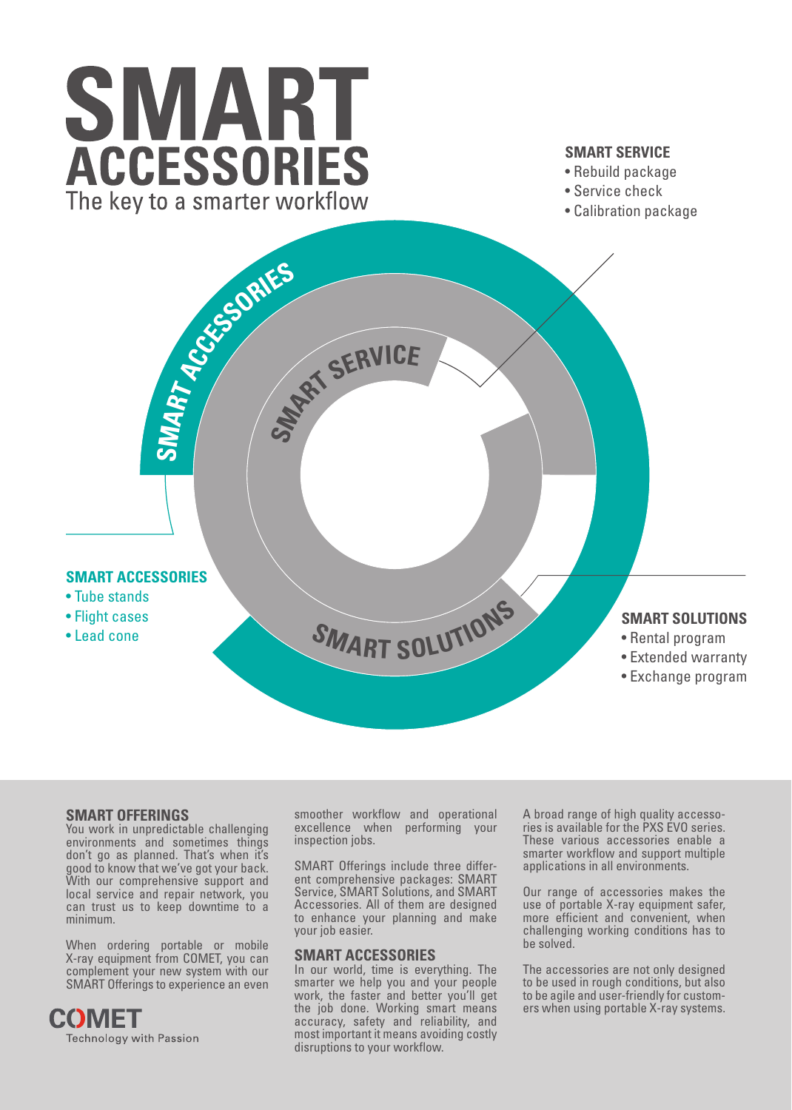# SMART **ACCESSORIES** The key to a smarter workflow

# **SMART SERVICE**

- Rebuild package
- Service check
- Calibration package



# **SMART OFFERINGS**

You work in unpredictable challenging environments and sometimes things don't go as planned. That's when it's good to know that we've got your back. With our comprehensive support and local service and repair network, you can trust us to keep downtime to a minimum.

When ordering portable or mobile X-ray equipment from COMET, you can complement your new system with our SMART Offerings to experience an even



smoother workflow and operational excellence when performing your inspection jobs.

SMART Offerings include three different comprehensive packages: SMART Service, SMART Solutions, and SMART Accessories. All of them are designed to enhance your planning and make your job easier.

## **SMART ACCESSORIES**

In our world, time is everything. The smarter we help you and your people work, the faster and better you'll get the job done. Working smart means accuracy, safety and reliability, and most important it means avoiding costly disruptions to your workflow.

A broad range of high quality accessories is available for the PXS EVO series. These various accessories enable a smarter workflow and support multiple applications in all environments.

Our range of accessories makes the use of portable X-ray equipment safer, more efficient and convenient, when challenging working conditions has to be solved.

The accessories are not only designed to be used in rough conditions, but also to be agile and user-friendly for customers when using portable X-ray systems.